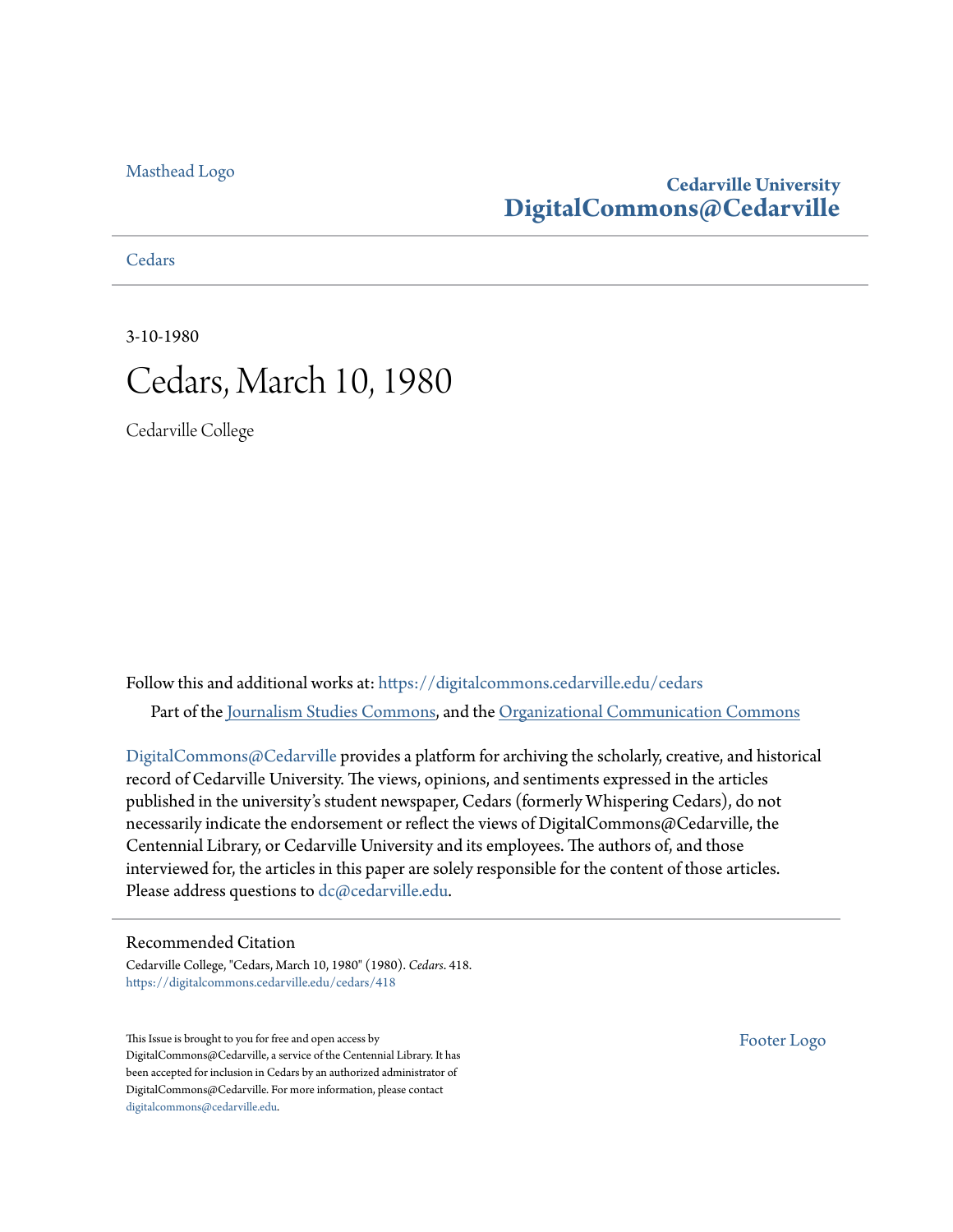#### [Masthead Logo](http://www.cedarville.edu/?utm_source=digitalcommons.cedarville.edu%2Fcedars%2F418&utm_medium=PDF&utm_campaign=PDFCoverPages)

#### **Cedarville University [DigitalCommons@Cedarville](https://digitalcommons.cedarville.edu?utm_source=digitalcommons.cedarville.edu%2Fcedars%2F418&utm_medium=PDF&utm_campaign=PDFCoverPages)**

**[Cedars](https://digitalcommons.cedarville.edu/cedars?utm_source=digitalcommons.cedarville.edu%2Fcedars%2F418&utm_medium=PDF&utm_campaign=PDFCoverPages)** 

3-10-1980



Cedarville College

Follow this and additional works at: [https://digitalcommons.cedarville.edu/cedars](https://digitalcommons.cedarville.edu/cedars?utm_source=digitalcommons.cedarville.edu%2Fcedars%2F418&utm_medium=PDF&utm_campaign=PDFCoverPages) Part of the [Journalism Studies Commons](http://network.bepress.com/hgg/discipline/333?utm_source=digitalcommons.cedarville.edu%2Fcedars%2F418&utm_medium=PDF&utm_campaign=PDFCoverPages), and the [Organizational Communication Commons](http://network.bepress.com/hgg/discipline/335?utm_source=digitalcommons.cedarville.edu%2Fcedars%2F418&utm_medium=PDF&utm_campaign=PDFCoverPages)

[DigitalCommons@Cedarville](http://digitalcommons.cedarville.edu/) provides a platform for archiving the scholarly, creative, and historical record of Cedarville University. The views, opinions, and sentiments expressed in the articles published in the university's student newspaper, Cedars (formerly Whispering Cedars), do not necessarily indicate the endorsement or reflect the views of DigitalCommons@Cedarville, the Centennial Library, or Cedarville University and its employees. The authors of, and those interviewed for, the articles in this paper are solely responsible for the content of those articles. Please address questions to [dc@cedarville.edu.](mailto:dc@cedarville.edu)

#### Recommended Citation

Cedarville College, "Cedars, March 10, 1980" (1980). *Cedars*. 418. [https://digitalcommons.cedarville.edu/cedars/418](https://digitalcommons.cedarville.edu/cedars/418?utm_source=digitalcommons.cedarville.edu%2Fcedars%2F418&utm_medium=PDF&utm_campaign=PDFCoverPages)

This Issue is brought to you for free and open access by DigitalCommons@Cedarville, a service of the Centennial Library. It has been accepted for inclusion in Cedars by an authorized administrator of DigitalCommons@Cedarville. For more information, please contact [digitalcommons@cedarville.edu](mailto:digitalcommons@cedarville.edu).

[Footer Logo](http://www.cedarville.edu/Academics/Library.aspx?utm_source=digitalcommons.cedarville.edu%2Fcedars%2F418&utm_medium=PDF&utm_campaign=PDFCoverPages)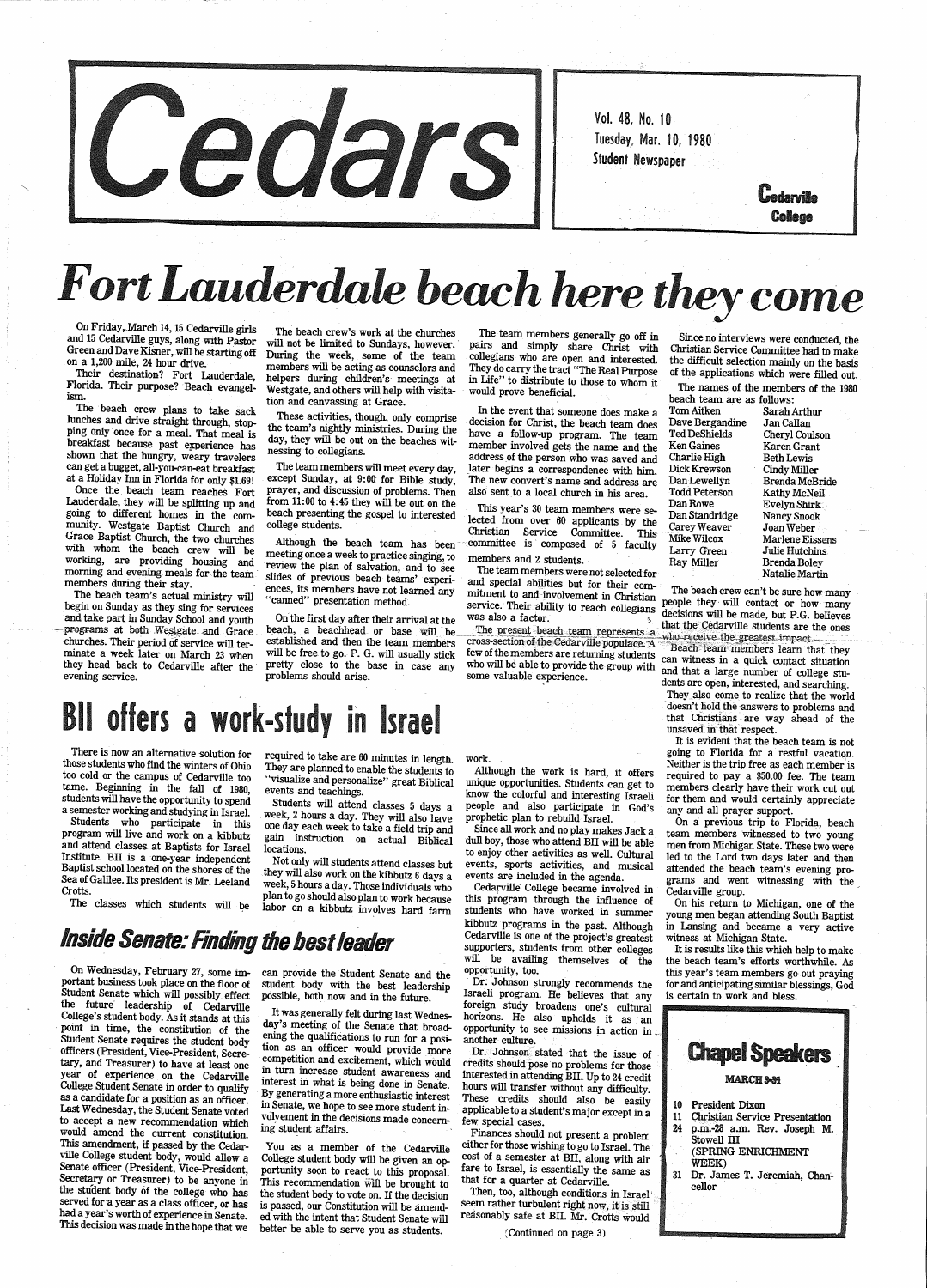

and 15 Cedarville guys, along with Pastor On Friday,.March 14, 15 Cedarville girls on a 1,200 mile, 24 hour drive.<br>Their destination? Fort Lauderdale,

# *Fort Lauderdak beach here they come*

will not be The beach will be the week,

meeting once a week to practice singing, to review the plan of salvation, and to see Working, are providing housing and review the plan of salvation, and to see The team members and 2 students. Ray Miller Brenda Boley<br>morning and evening meals for the team slides of previous beach teams' experi- and specia ences, its members have not learned any<br>"canned" presentation method.

Lauderdale, they will be splitting up and<br>going to different homes in the com-<br>munity. Westgate Baptist Church and college students.<br>Grace Baptist Church, the two churches although the beach team has been committee is comp with whom the beach crew will working, are providing housing and the two churches

programs at both westgate and Grace beach, a beachnead or base will be the present beach team represents a who receive the greatest impact.<br>
churches. Their period of service will term established and then the team members

Students who participate in this program will live and work on a kibbutz and attend classes at Baptists for Israel Institute. BU is a one-year independent Baptist school located on the shores of the Sea of Galilee. Its president is Mr. Leeland Crotts.

The classes which students will be

required to take are 60 minutes in length.<br>They are planned to enable the students to "visualize and personalize" great Biblical events and teachings.

| n Aitken      | Sarah Arthur               |
|---------------|----------------------------|
| ve Bergandine | Jan Callan                 |
| l DeShields   | Cheryl Coulson             |
| ı Gaines      | Karen Grant                |
| ırlie High    | <b>Beth Lewis</b>          |
| k Krewson     | Cindy Miller               |
| n Lewellyn    | Brenda McBrid              |
| ld Peterson   | Kathy McNeil               |
| n Rowe        | Evelyn Shirk               |
| n Standridge  | Nancy Snook                |
| ey Weaver     | Joan Weber                 |
| ce Wilcox     | Marlene Eisser             |
| ry Green -    | Julie Hutchins             |
| v Miller      | Brenda Boley               |
|               | Natalia Ma <del>rtin</del> |

The beach team's actual ministry will<br>begin on Sunday as they sing for services will ences, its members have not learned any mitment to and involvement in Christian<br>begin on Sunday as they sing for services<br>and take part i

multe a week later on march 23 when they head back to Cedarville after the pretty close to the base in case any who will be able to provide the group with and that a large number of college stu-<br>evening service.<br>evening se

week, 2 hours a day. They will also have<br>one day each week to take a field trip and one day each week to take a field trip and gain instruction on actual Biblical locations.

portant business took place on the floor of student body with the best leadership student body with the best leadership possible, both now and in the future.

> It was generally felt during last Wednes-<br>day's meeting of the Senate that broad-<br>ening the qualifications to run for a posiening the quality run for a position as an officer would provide more competition and excitement, which would in turn increase student awareness and interest in what is being done in Senate. By generating a more enthusiastic interest in Senate, we hope to see more student involvement in the decisions made concerning student affairs.

Although the work is hard, it offers know the colorful and interesting Israeli<br>people and also participate in God's<br>prophetic plan to rebuild Israel.<br>Since all work and no play makes Jack a

<sup>p</sup>roblems should arise. close to

The team members generally go off in Since no interviews were conducted, the pairs and simply share Christ with Christian Service Committee had to make

or a strain frequencies with eacting as courselors and They do carry the tradi-"The Real Purpose of the applications which were filled out.<br>
The the distribute to discuss the properties are the stretch of the applications

committee is composed of 5 faculty Larry Hunders and 2 students.

and special abilities but for their com-<br>mitment to and involvement in Christian

Green and Dave Kisner, will be starting off During the week, some of the team collegians who are open and interval to histian Service Committee had to make collegians who are open and interested. the difficult selection mainly on the basis<br>They do carry the tract "The Real Purpose of the applications which were filled out.

foreign study broadens one's cultural horizons. He also upholds it as an opportunity to see missions in action in ... another culture.

Dr. Johnson stated that the issue of credits should pose no problems for those interested in attending BII. Up to 24 credit<br>hours will transfer without any difficulty.<br>These credits should also be easily applicable to a student's major except in a<br>few special cases.<br>Finances should not present a problem

either for those wishing to go to Israel. The cost of a semester at BII, along with air fare to Israel, is essentially the same as that for a quarter at Cedarville.

Then, too, although conditions in Israel'<br>seem rather turbulent right now, it is still seem rather turbulent right now, it is still reasonably safe at BII. Mr. Crotts would

 going to Florida for a restful vacation. Neither is the trip free as each member is required to pay a \$50.00 fee. The team members clearly have their work cut out for them and would certainly appreciate any and all prayer support.

On a previous trip to Florida, beach team members witnessed to two young men from Michigan State. These two were led to the Lord two days later and then attended the beach team's evening programs and went witnessing with the Cedarville group.

Not only will students attend classes but they will also work on the kibbutz 6 days a week, 5 hours a day. Those individuals who week, 5 hours a day. Those individuals who<br>plan to go should also plan to work because labor on a kibbutz involves hard farm

### *Inside Senate: Finding the best leader*

On Wednesday, February 27, some im-can provide the Student Senate and the the future leadership of Cedarville College's student body. As it stands at this point in time, the constitution of the Student Senate requires the student body officers (President, Vice-President, Secretary, and Treasurer) to have at least one year of experience on the Cedarville College Student Senate in order to qualify as a candidate for a position as an officer. Last Wednesday, the Student Senate voted to accept a new recommendation which would amend the current constitution. This amendment, if passed by the Cedarville College student body, would allow a<br>Senate officer (President, Vice-President,<br>Secretary or Treasurer) to be anyone in<br>the student body of the college who has<br>served for a year a This decision was made in the hope that we

You as a member of the Cedarville College student body will be given an opportunity soon to react to this proposal.<br>This recommendation will be brought to<br>the student body to vote on. If the decision is passed, our Constitution will be amended with the intent that Student Senate will better be able to serve you as students.

work.

Since all work and no play makes Jack a dull boy, those who attend BU will be able to enjoy other activities as well. Cultural events, sports activities, and musical events are included in the agenda. Cedarville College became involved in

this program through the influence of students who have worked in summer kibbutz programs in the past. Although Cedarville is one of the project's greatest<br>supporters, students from other colleges<br>will be availing themselves of the opportunity, too.

Dr. Johnson strongly recommends the Israeli program. He believes that any

(Continued on page 3)

On his return to Michigan, one of the young men began attending South Baptist in Lansing and became a very active witness at Michigan State.

the beach team's efforts worthwhile. As this year's team members go out praying for and anticipating similar blessings, God<br>is certain to work and bless.

There is now an alternative solution for those students who find the winters of Ohio too cold or the campus of Cedarville too tame. Beginning in the fall of 1980, students will have the opportunity to spend a semester working and studying in Israel.

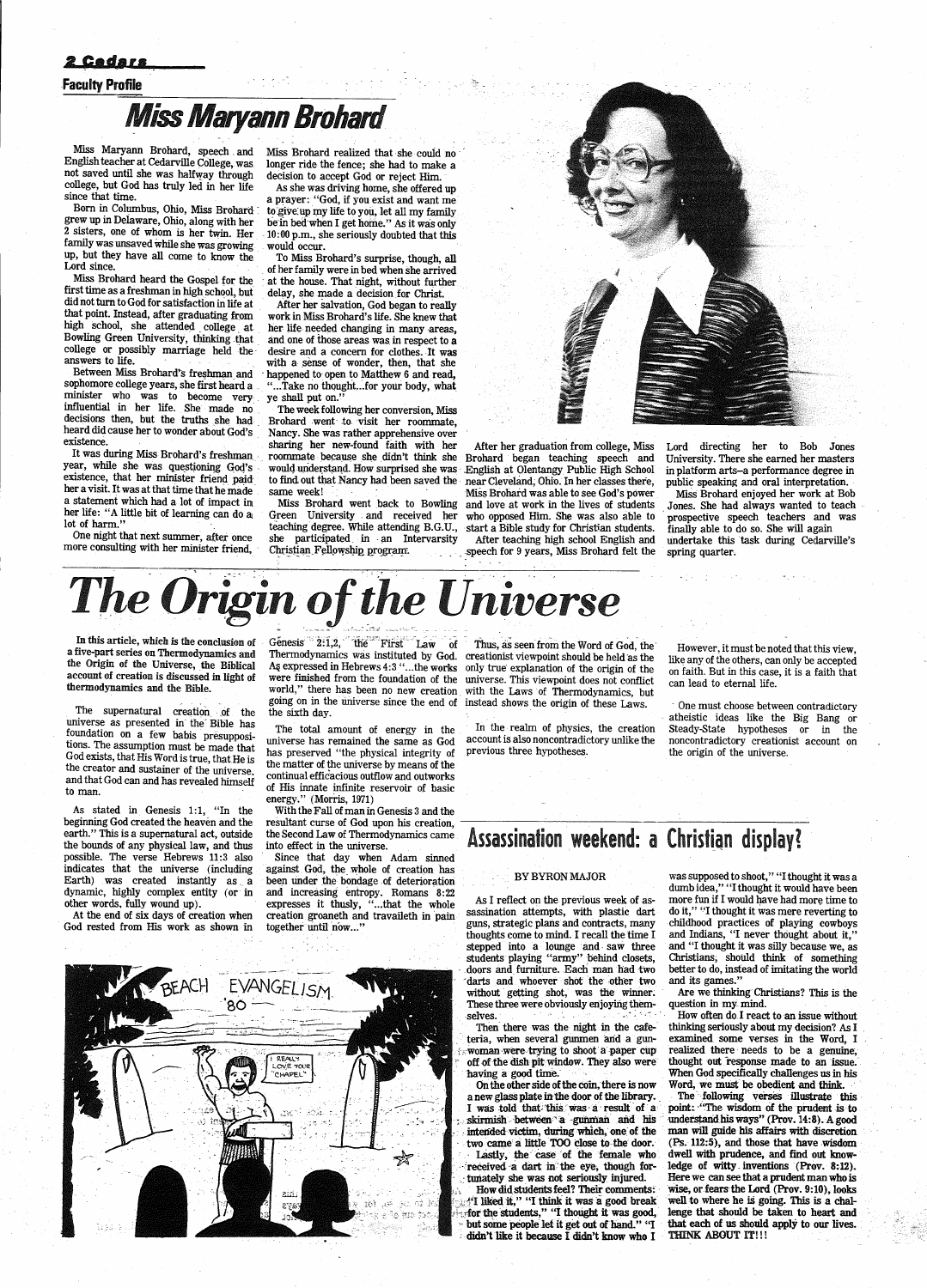#### <u> 2 Codars</u>

#### Faculty Profile

## **Miss Maryann Brohard**

Miss Maryann Brohard, speech . and English teacher at Cedarville College, was not saved until she was halfway through college, but God has truly led in her life since that time.

Born in Columbus, Ohio, Miss Brohard grew up in Deiaware, Ohio, along with her 2 sisters, one of whom is her twin. Her family was unsaved while she was growing up, but they have all come to know the Lord since.

Miss Brohard heard the Gospel for the first time as a freshman in high school, but did not turn to God for satisfaction in life at that point. Instead, after graduating from high school, she attended college at Bowling Green University, thinking that college or possibly marriage held the answers to life.

Between Miss Brohard's freshman and sophomore college years, she first heard <sup>a</sup> minister who was to become very . influential in her life. She made no decisions then, but the truths she had heard did cause her to wonder about God's . existence.

It was during Miss Brohard's freshman year, while she was questioning God's existence, that her minister friend pajdher a visit. It was at that time that he made a statement which had a lot of impact in her life: "A little bit of learning can do al lot of harm."

One night that next summer, after once more consulting with her minister friend, Miss Brohard realized that she could no longer ride the fence; she had to make a decision to accept God or reject Him.

The week following her conversion, Miss Brohard went to visit her roommate, Nancy. She was rather apprehensive over<br>sharing her new-found faith with her roommate because she didn't think she Brohard began teaching speech and would understand. How surprised she was English at Olentangy Public High School would understand. How surprised she was ·

teaching degree. While attending B.G.U., start a Bible study for Christian students.<br>she participated in an Intervarsity After teaching high school English and she participated in an Intervarsity<br>Christian Fellowship program.

After her graduation from college, Miss to find out that Nancy had been saved the near Cleveland; Ohio. In her classes there, same week! Miss Brohard was able to see God's power Miss Brohard went back to Bowling and love at work in the lives of students Green University and received her who opposed Him. She was also able to who opposed Him. She was also able to

-speech for 9 years, Miss Brohard felt the

As she was driving home, she offered up a prayer: "God, if you exist and want me<br>to give up my life to you, let all my family be in bed when I get home." As it was only -10:00 p.m., she seriously doubted that this would occur.

To Miss Brohard's surprise, though, all of her family were in bed when she arrived at the house. That night, without further delay, she made a decision for Christ.

In this article, which is the conclusion of Genesis:  $2:1,2$ , the First Law of Thus, as seen from the Word of God, the a five-part series on Thermodynamics and the Origin of the Universe, the Biblical account of creation is discussed in light of thermodynamics and the Bible.

The supernatural creation of the universe as presented in the' Bible has foundation on a few babis presuppositions. The assumption must be made that God exists, that His Word is true, that He is the creator and sustainer of the universe, and that God can and has revealed himself to man.

After her salvation, God began to really work in Miss Brohard's life. She knew that her life needed changing in many areas, and one of those areas was in respect to <sup>a</sup> desire and a concern for clothes. It was with a sense of wonder, then, that she happened to open to Matthew 6 and read, "... Take no thought... for your body, what ye shall put on."

With the Fall of man in Genesis 3 and the resultant curse of God upon his creation,

In the realm of physics, the creation account is also noncontradictory unlike the previous three hypotheses.

One must choose between contradictory atheistic ideas like the Big Bang or Steady-State hypotheses or in the noncontradictory creationist account on the origin of the universe.

### the Second Law of Thermodynamics came Assassination weekend: a Christian display?

As I reflect on the previous week of assassination attempts, with plastic dart do it," "I thought it was mere reverting to guns, strategic plans and contracts, many childhood practices of playing cowboys thoughts come to mind. I recall the time I and Indians, "I never thought about it,"<br>stepped into a lounge and saw three and "I thought it was silly because we, as stepped into a lounge and saw three and "I thought it was silly because we, as students playing "army" behind closets, Christians, should think of something students playing "army" behind closets, Christians, should think of something doors and furniture. Each man had two better to do, instead of imitating the world darts and whoever shot the other two without getting shot, was the winner. These three were obviously enjoying them- question in my mind. selves.

Since that day when Adam sinned against God, the whole of creation has been under the bondage of deterioration and increasing entropy. Romans 8:22 expresses it thusly, "...that the whole creation groaneth and travaileth in pain together until now..."

were finished from the foundation of the universe. This viewpoint does not conflict world," there has been no new creation with the Laws of Thermodynamics, but

BY BYRON MAJOR was supposed to shoot," "I thought it was a dumb idea," "I thought it would have been<br>more fun if I would have had more time to better to do, instead of imitating the world<br>and its games."

Are we thinking Christians? This is the



public speaking and oral interpretation. Miss Brohard enjoyed her work at Bob

Jones. She had always wanted to teach · prospective speech teachers and was finally able to do so. She will again undertake this task during Cedarville's spring quarter.



-~---·--

As stated in Genesis 1:1, "In the beginning God created the heaven and the earth." This is a supernatural act, outside the bounds of any physical law, and thus possible. The verse Hebrews H:3 also indicates that the universe (including Earth) was created instantly as a dynamic, highly complex entity (or in other words, fully wound up).

At the end of six days of creation when God rested from His work as shown in Thermodynamics was instituted by God. creationist viewpoint should be held as the As expressed in Hebrews 4:3 "... the works only true explanation of the origin of the going on in the universe since the end of instead shows the origin of these Laws. the sixth day.

The total amount of energy in the universe has remained the same as God has preserved ''the physical integrity of the matter of the universe by means of the continual efficacious outflow and outworks of His innate infinite reservoir of basic energy." (Morris, 1971)

However, it must be noted that this view, like any of the others, can only be accepted on faith. But in this case, it is a faith that can lead to eternal life.



a new glass plate in the door of the library. The incolowing verses illustrate this I was told that this was a result of a point: "The wisdom of the prudent is to  $\frac{1}{2}$  -skirmish - between a -gunman and his understand his ways" (Prov. 14:8). A good intended victim. during which, one of the man will guide his affairs with discretion intended victim, during which, one of the two came a little TOO close to the door. Lastly, the case of the female who received a dart in the eye, though for- ledge of witty inventions (Prov. 8:12).<br>tunately she was not seriously injured. Here we can see that a prudent man who is How did students feel? Their comments: wise, or fears the Lord (Prov. 9:10), looks  $\frac{4}{1}$  liked it," "I think it was a good break well to where he is going. This is a chal-<br>for the students," "I thought it was good, le but some people let it get out of hand." "I that each of us should apply to our lives.<br>didn't like it because I didn't know who I THINK ABOUT IT!!! didn't like it because I didn't know who I

How often do I react to an issue without Then there was the night in the cafe- thinking seriously about my decision? As I teria, when several gunmen and a gun- examined some verses in the Word, I examined some verses in the Word, I realized there needs to be a genuine, woman were trying to shoot a paper cup realized there needs to be a genuine,<br>off of the dish pit window. They also were thought out response made to an issue.<br>having a good time. When God specifically challenges us in his<br>  $(Ps. 112:5)$ , and those that have wisdom dwell with prudence, and find out know-Here we can see that a prudent man who is<br>wise, or fears the Lord (Prov. 9:10), looks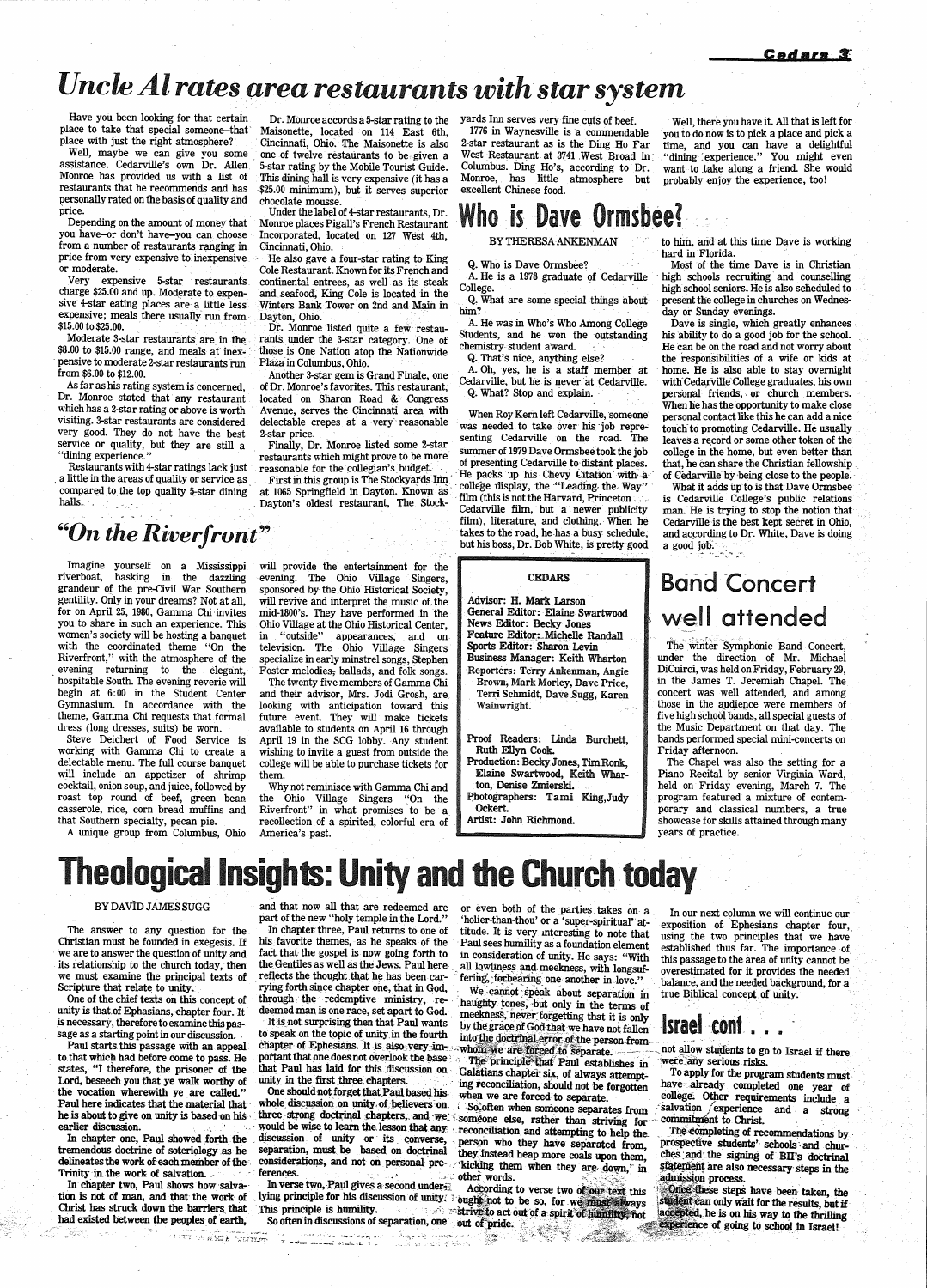# *Uncle Al rates area restaurants with star system*

Have you been looking for that certain Dr. Monroe accords a 5-star rating to the lace to take that special someone-that Maisonette, located on 114 East 6th. place to take that special someone-that<br>place with just the right atmosphere?

assistance. Cedarville's own Dr. Allen. 5-star rating by the Mobile Tourist Guide.<br>Monroe has provided us with a list of This dining hall is very expensive (it has a personally rated on the basis of quality and price.

from a number of restaurants ranging in<br>price from very expensive to inexpensive. price from very expensive to inexpensive He also gave a four-star rating to King<br>The Restaurant, Known for its French and

charge \$25.00 and up. Moderate to expen- and seafood, King Cole is located in the sive 4-star eating places are a little less Winters Bank Tower on 2nd and Main in expensive; meals there usually run from Dayton, Ohio.<br>\$15.00 to \$25.00. Dr. Monroe

Moderate 3-star restaurants are in the rants under the 3-star category. One of \$8.00 to \$15.00 range, and meals at inex-<br>those is One Nation atop the Nationwide pensive to moderate 2-star restaurants run from \$6.00 to \$12.00.

Dr. Monroe stated that any restaurant located on Sharon Road & Congress which has a 2-star rating or above is worth Avenue, serves the Cincinnati area with which has a 2-star rating or above is worth Avenue, serves the Cincinnati area with When Roy Kern left Cedarville, someone<br>visiting. 3-star restaurants are considered delectable crepes at a very reasonable was needed to ta very good. They do not have the best 2-star price.<br>Senting Cedarville on the road. The service or quality, but they are still a Finally, Dr. Monroe listed some 2-star summer of 1970 Deve Ormaha that has had

college display, the "Leading the Way"<br>compared to the top quality 5-star dining at 1065 Springfield in Dayton. Known as<br>halls. Dayton's oldest restaurant, The Stock-

lace with just the right atmosphere? · Cincinnati, Ohio. The Maisonette is also Well, maybe we can give you some one of twelve restaurants to be given a Well, maybe we can give you some one of twelve restaurants to be given a assistance. Cedarville's own Dr. Allen 5-star rating by the Mobile Tourist Guide. Monroe has provided us with a list of This dining hall is very expensive (it has a restaurants that he recommends and has \$25.00 minimum), but it serves superior \$25.00 minimum), but it serves superior chocolate mousse.

rice.<br>
Under the label of 4-star restaurants, Dr.<br>
Depending on the amount of money that Monroe places Pigall's French Restaurant Depending on the amount of money that Monroe places Pigall's French Restaurant<br>you have—or don't have—vou can choose Incorporated. located on 127 West 4th Incorporated, located on 127 West 4th, Cincinnati, Ohio.

moderate. Cole Restaurant. Known for its French and Very<br>Very expensive 5-star restaurants continental entrees, as well as its steak Very expensive 5-star restaurants continental entrees, as well as its steak Winters Bank Tower on 2nd and Main in

15.00 to \$25.00.<br>Moderate 3-star restaurants are in the rants under the 3-star category. One of those is One Nation atop the Nationwide<br>Plaza in Columbus, Ohio.

om \$6.00 to \$12.00.<br>As far as his rating system is concerned, of Dr. Monroe's favorites. This restaurant, of Dr. Monroe's favorites. This restaurant,

yards Inn serves very fine cuts of beef.

Well, there you have it. All that is left for you to do now is to pick a place and pick a time, and you can have a delightful "dining experience." You might even want to take along a friend. She would probably enjoy the experience, too!

1776 in Waynesville is a commendable 2-star restaurant as is the Ding Ho Far West Restaurant at 3741 West Broad in. Columbus. Ding Ho's, according to Dr. Monroe, has little atmosphere but excellent Chinese food;

### Who is Dave Ormsbee?

A. He is a 1978 graduate of Cedarville College.

A. He was in Who's Who Among College Students, and he won the outstanding

A. Oh, yes, he is a staff member at Cedarville, but he is never at Cedarville. Q. What? Stop and explain.

#### BY THERESAANKENMAN

Q. Who is Dave Ormsbee?

Q, What are some special things about him?

chemistry student award. Q. That's nice, anything else?

Service or quanty, but they are still a<br>
"dining experience."<br>
Thaily, Dr. Monroe listed some asset of 1979 Dave Ormsbee took the job<br>
"dining experience."<br>
Restaurants with 4-star ratings lack just<br>
a little in the areas Cedarville film, but a newer publicity  $film)$ , literature, and clothing. When he takes to the road, he-has a busy schedule, but his boss, Dr. Bob White, is pretty good

> ·Reporters: Terry Ankenman, Angie Brown, Mark Morley, Dave Price, Terri Schmidt, Dave Sugg, Karen Wainwright.

Photographers: Tami King,Judy Ockert.

to him, arid at this time Dave is working hard in Florida.

Dave is single, which greatly enhances his ability to do a good job for the school. He can be on the road and not worry about the responsibilities of a wife or kids at home. He is also able to stay overnight with-Cedarville College graduates, his own personal friends, or church members. When he has the opportunity to make close personal contact like this he can add a nice touch to promoting Cedarville. He usually leaves a record or some other token of the college in the home, but even better than that, he can share the Christian fellowship .. of Cedarville by being close to the people.

What it adds up to is that Dave Ormsbee is Cedarville College's public relations man. He is trying to stop the notion that Cedarville is the best kept secret in Ohio, and according to Dr. White, Dave is doing a good job.

### **Band Concert** well attended

### *"On the Riverfront"*

Imagine yourself on a Mississippi riverboat, basking in the dazzling grandeur of the pre-Civil War Southern gentility. Only in your dreams? Not at all, for on April 25, 1980, Gamma Chi invites you to share in such an experience. This women's society will be hosting a banquet with the coordinated theme "On the Riverfront," with the atmosphere of the evening returning to the elegant, hospitable South. The evening reverie will begin at 6:00 in the Student Center Gymnasium. In accordance with the theme, Gamma Chi requests that formal dress (long dresses, suits) be worn.

> In our next column we will continue our exposition of Ephesians chapter four, using the two principles that we have established thus far. The importance of. this passage to the area of unity cannot be overestimated for it provides the needed balance, and the needed background, for a true Biblical concept of unity.

 $\frac{1}{2}$  is the figure of the statement. In verse two, Paul gives a second under  $\frac{1}{2}$  other words.<br>In chapter two, Paul shows how salva-<br>here words to verse two of our two salva-bean have been

Paul starts this passage with an appeal chapter of Ephesians. It is also very im-<br>to that which had before come to pass. He portant that one does not overlook the base The principle that Paul establishes in were any seriou

Lord, beseech you that ye walk worthy of unity in the first three chapters.<br>
ing reconciliation, should not be forgotten have-already completed one year of<br>
the vocation when the stress ing reconciliation, should not be f

In chapter two, Fall shows how sarva. In verse two, Fall gives a second under.<br>
tion is not of man, and that the work of lying principle for his discussion of unity.<br>
Christ has struck down the barriers that This principle

Steve Deichert of Food Service is working with Gamma Chi· to create <sup>a</sup> delectable menu. The full course banquet will include an appetizer of shrimp cocktail, onion soup, and juice, followed by roast top round of beef, green bean casserole, rice, corn bread muffins and that Southern specialty, pecan pie.

A unique group from Columbus, Ohio

will provide the entertainment for the evening. The Ohio Village Singers, sponsored by- the Ohio Historical Society, will revive and interpret the music of the mid-1800's. They have performed in the Ohio Village at the Ohio Historical Center, in "outside" appearances, and on television. The Ohio Village Singers specialize in early minstrel songs, Stephen Foster melodies, ballads, and folk songs.

The twenty-five members of Gamina Chi and their advisor, Mrs. Jodi Grosh, are looking with anticipation toward this future event. They will make tickets available to students on April 16 through April 19 in the SCG lobby. Any student wishing to invite a guest from outside the college will be able to purchase tickets for them.

Why not reminisce with Gamma Chi and the Ohio Village Singers "On the Riverfront" in what promises to be a recollection of a spirited, colorful era of America's past.

#### CEDARS

Advisor: H. Mark Larson General Editor: Elaine Swartwood News Editor: Becky Jones Feature Editor: Michelle Randall Sports Editor: Sharon Levin Business Manager: Keith Wharton

Proof Readers: Linda Burchett, Ruth Ellyn Cook.

Production: BeckyJones, Tim Ronk, Elaine Swartwood, Keith Wharton, Denise Zmierski.

Artist: John Richmond.

Most of the time Dave is in Christian · high schools recruiting and counselling high school seniors. He is also scheduled to present the college in churches on Wednesday or Sunday evenings.

The winter Symphonic Band Concert, under the direction of Mr. Michael DiCuirci, was held on Friday, February 29, in the James T. Jeremiah Chapel. The concert was well attended, and among those. in the audience were members of five high school bands, all special guests of the Music Department on that day. The bands performed special mini-concerts on Friday afternoon.

The Chapel was also the setting for a Piano Recital by senior Virginia Ward, held on Friday evening, March 7. The program featured a mixture of contemporary and classical numbers, a true showcase for skills attained through many years of practice.

# **Theological Insights: Unity and the Church today**

The answer to any question for the In chapter three, Paul returns to one of titude. It is very interesting to note that<br>Christian must be founded in exegesis. If his favorite themes, as he speaks of the Paul sees humility its relationship to the church today, then the Gentiles as well as the Jews. Paul here all lowliness and meekness, with longsuf-<br>we must examine the principal texts of reflects the thought that he has been car- fering. for we must examine the principal texts of reflects the thought that he has been car- fering, for bearing one another in love."<br>Scripture that relate to unity. The round of the series of the series of the cannot speak about se

BY DAVID JAMES SUGG and that now all that are redeemed are or even both of the parties takes on a part of the new "holy temple in the Lord." tholier-than-thou' or a 'super-spiritual' at-

Scripture that relate to unity; rying forth since chapter one, that in God, we cannot speak about separation in<br>One of the chief texts on this concept of through the redemptive ministry, re- haughty tones, but only in the One of the chief texts on this concept of through the redemptive ministry, re- haughty tones, but only in the terms of unity is that of Ephasians, chapter four. It deemed man is one race, set apart to God. meekness, never unity is that of Ephasians, chapter four. It deemed man is one race, set apart to God.<br>is necessary, therefore to examine this pastern is not surprising then that Paul wants by the grace of God that we have not fallen STAC

-• .u\_ • .-,• ~-.' ~i,1-f,~'> :=~/~·:<:-''?":::"~....:; •<'·~·.:~ ... *-...,,r* • • ': ·~: ··.·-~:rn".°'.;~j, --.. ;:\_\_;i'f! .. [.J' "J" --t::~~~~~-~:; ;~:.~;;~ -~- ·'·v--:~·\_,·.:: f-.l~·-·:t.- ~~--· ... ~, ... !"' *~.~;,:: ·:.•,-;* 

tion is not of man, and that the work of lying principle for mis discussion of unity. Fought not to be so, for we must always souldent can only wait for the results, but if<br>Christ has struck down the barriers that This pri